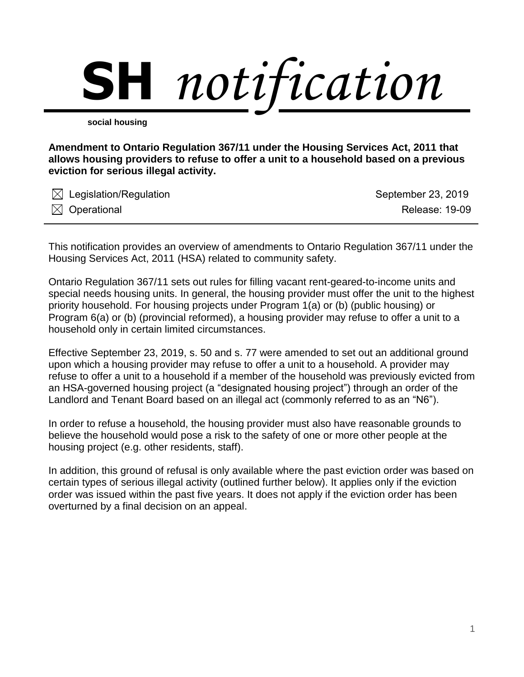

**social housing**

**Amendment to Ontario Regulation 367/11 under the Housing Services Act, 2011 that allows housing providers to refuse to offer a unit to a household based on a previous eviction for serious illegal activity.**

 $\boxtimes$  Legislation/Regulation  $\boxtimes$  September 23, 2019

 $\boxtimes$  Operational  $\boxtimes$  Operational  $\boxtimes$ 

This notification provides an overview of amendments to Ontario Regulation 367/11 under the Housing Services Act, 2011 (HSA) related to community safety.

Ontario Regulation 367/11 sets out rules for filling vacant rent-geared-to-income units and special needs housing units. In general, the housing provider must offer the unit to the highest priority household. For housing projects under Program 1(a) or (b) (public housing) or Program 6(a) or (b) (provincial reformed), a housing provider may refuse to offer a unit to a household only in certain limited circumstances.

Effective September 23, 2019, s. 50 and s. 77 were amended to set out an additional ground upon which a housing provider may refuse to offer a unit to a household. A provider may refuse to offer a unit to a household if a member of the household was previously evicted from an HSA-governed housing project (a "designated housing project") through an order of the Landlord and Tenant Board based on an illegal act (commonly referred to as an "N6").

In order to refuse a household, the housing provider must also have reasonable grounds to believe the household would pose a risk to the safety of one or more other people at the housing project (e.g. other residents, staff).

In addition, this ground of refusal is only available where the past eviction order was based on certain types of serious illegal activity (outlined further below). It applies only if the eviction order was issued within the past five years. It does not apply if the eviction order has been overturned by a final decision on an appeal.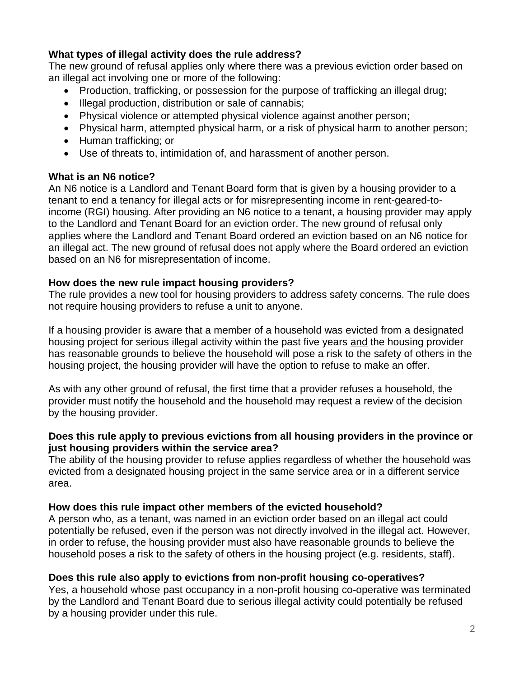## **What types of illegal activity does the rule address?**

The new ground of refusal applies only where there was a previous eviction order based on an illegal act involving one or more of the following:

- Production, trafficking, or possession for the purpose of trafficking an illegal drug;
- Illegal production, distribution or sale of cannabis;
- Physical violence or attempted physical violence against another person;
- Physical harm, attempted physical harm, or a risk of physical harm to another person;
- Human trafficking; or
- Use of threats to, intimidation of, and harassment of another person.

# **What is an N6 notice?**

An N6 notice is a Landlord and Tenant Board form that is given by a housing provider to a tenant to end a tenancy for illegal acts or for misrepresenting income in rent-geared-toincome (RGI) housing. After providing an N6 notice to a tenant, a housing provider may apply to the Landlord and Tenant Board for an eviction order. The new ground of refusal only applies where the Landlord and Tenant Board ordered an eviction based on an N6 notice for an illegal act. The new ground of refusal does not apply where the Board ordered an eviction based on an N6 for misrepresentation of income.

## **How does the new rule impact housing providers?**

The rule provides a new tool for housing providers to address safety concerns. The rule does not require housing providers to refuse a unit to anyone.

If a housing provider is aware that a member of a household was evicted from a designated housing project for serious illegal activity within the past five years and the housing provider has research to holinical the household will peace a right to the estatulation in the has reasonable grounds to believe the household will pose a risk to the safety of others in the housing project, the housing provider will have the option to refuse to make an offer.

As with any other ground of refusal, the first time that a provider refuses a household, the provider must notify the household and the household may request a review of the decision by the housing provider.

## **Does this rule apply to previous evictions from all housing providers in the province or just housing providers within the service area?**

The ability of the housing provider to refuse applies regardless of whether the household was evicted from a designated housing project in the same service area or in a different service area.

# **How does this rule impact other members of the evicted household?**

A person who, as a tenant, was named in an eviction order based on an illegal act could potentially be refused, even if the person was not directly involved in the illegal act. However, in order to refuse, the housing provider must also have reasonable grounds to believe the household poses a risk to the safety of others in the housing project (e.g. residents, staff).

# **Does this rule also apply to evictions from non-profit housing co-operatives?**

Yes, a household whose past occupancy in a non-profit housing co-operative was terminated by the Landlord and Tenant Board due to serious illegal activity could potentially be refused by a housing provider under this rule.